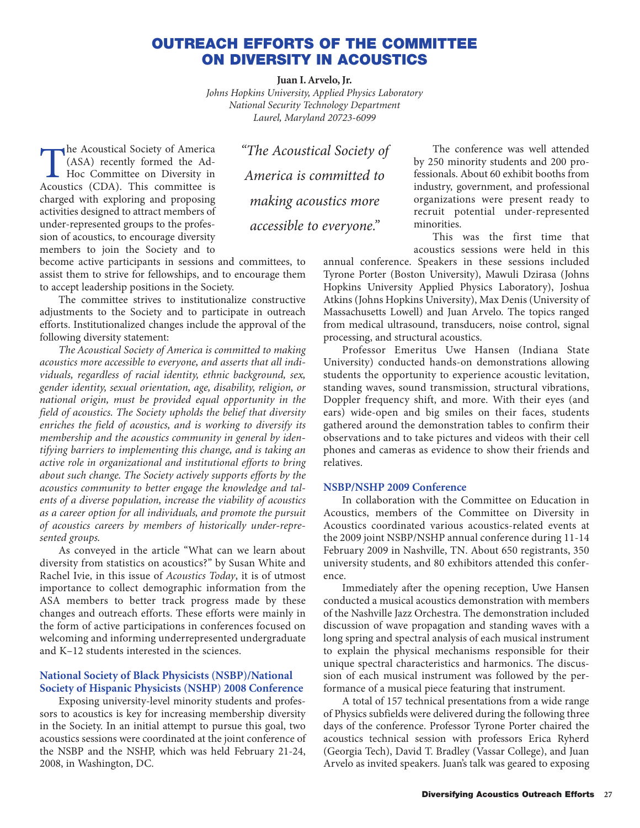# **OUTREACH EFFORTS OF THE COMMITTEE ON DIVERSITY IN ACOUSTICS**

**Juan I. Arvelo, Jr.**

*Johns Hopkins University, Applied Physics Laboratory National Security Technology Department Laurel, Maryland 20723-6099*

The Acoustical Society of America<br>(ASA) recently formed the Ad-<br>Hoc Committee on Diversity in<br>Acoustics (CDA). This committee is (ASA) recently formed the Ad-Hoc Committee on Diversity in Acoustics (CDA). This committee is charged with exploring and proposing activities designed to attract members of under-represented groups to the profession of acoustics, to encourage diversity members to join the Society and to

become active participants in sessions and committees, to assist them to strive for fellowships, and to encourage them to accept leadership positions in the Society.

The committee strives to institutionalize constructive adjustments to the Society and to participate in outreach efforts. Institutionalized changes include the approval of the following diversity statement:

*The Acoustical Society of America is committed to making acoustics more accessible to everyone, and asserts that all individuals, regardless of racial identity, ethnic background, sex, gender identity, sexual orientation, age, disability, religion, or national origin, must be provided equal opportunity in the field of acoustics. The Society upholds the belief that diversity enriches the field of acoustics, and is working to diversify its membership and the acoustics community in general by identifying barriers to implementing this change, and is taking an active role in organizational and institutional efforts to bring about such change. The Society actively supports efforts by the acoustics community to better engage the knowledge and talents of a diverse population, increase the viability of acoustics as a career option for all individuals, and promote the pursuit of acoustics careers by members of historically under-represented groups.*

As conveyed in the article "What can we learn about diversity from statistics on acoustics?" by Susan White and Rachel Ivie, in this issue of *Acoustics Today*, it is of utmost importance to collect demographic information from the ASA members to better track progress made by these changes and outreach efforts. These efforts were mainly in the form of active participations in conferences focused on welcoming and informing underrepresented undergraduate and K–12 students interested in the sciences.

#### **National Society of Black Physicists (NSBP)/National Society of Hispanic Physicists (NSHP) 2008 Conference**

Exposing university-level minority students and professors to acoustics is key for increasing membership diversity in the Society. In an initial attempt to pursue this goal, two acoustics sessions were coordinated at the joint conference of the NSBP and the NSHP, which was held February 21-24, 2008, in Washington, DC.

*"The Acoustical Society of America is committed to making acoustics more accessible to everyone."*

The conference was well attended by 250 minority students and 200 professionals. About 60 exhibit booths from industry, government, and professional organizations were present ready to recruit potential under-represented minorities.

This was the first time that acoustics sessions were held in this

annual conference. Speakers in these sessions included Tyrone Porter (Boston University), Mawuli Dzirasa (Johns Hopkins University Applied Physics Laboratory), Joshua Atkins (Johns Hopkins University), Max Denis (University of Massachusetts Lowell) and Juan Arvelo. The topics ranged from medical ultrasound, transducers, noise control, signal processing, and structural acoustics.

Professor Emeritus Uwe Hansen (Indiana State University) conducted hands-on demonstrations allowing students the opportunity to experience acoustic levitation, standing waves, sound transmission, structural vibrations, Doppler frequency shift, and more. With their eyes (and ears) wide-open and big smiles on their faces, students gathered around the demonstration tables to confirm their observations and to take pictures and videos with their cell phones and cameras as evidence to show their friends and relatives.

## **NSBP/NSHP 2009 Conference**

In collaboration with the Committee on Education in Acoustics, members of the Committee on Diversity in Acoustics coordinated various acoustics-related events at the 2009 joint NSBP/NSHP annual conference during 11-14 February 2009 in Nashville, TN. About 650 registrants, 350 university students, and 80 exhibitors attended this conference.

Immediately after the opening reception, Uwe Hansen conducted a musical acoustics demonstration with members of the Nashville Jazz Orchestra. The demonstration included discussion of wave propagation and standing waves with a long spring and spectral analysis of each musical instrument to explain the physical mechanisms responsible for their unique spectral characteristics and harmonics. The discussion of each musical instrument was followed by the performance of a musical piece featuring that instrument.

A total of 157 technical presentations from a wide range of Physics subfields were delivered during the following three days of the conference. Professor Tyrone Porter chaired the acoustics technical session with professors Erica Ryherd (Georgia Tech), David T. Bradley (Vassar College), and Juan Arvelo as invited speakers. Juan's talk was geared to exposing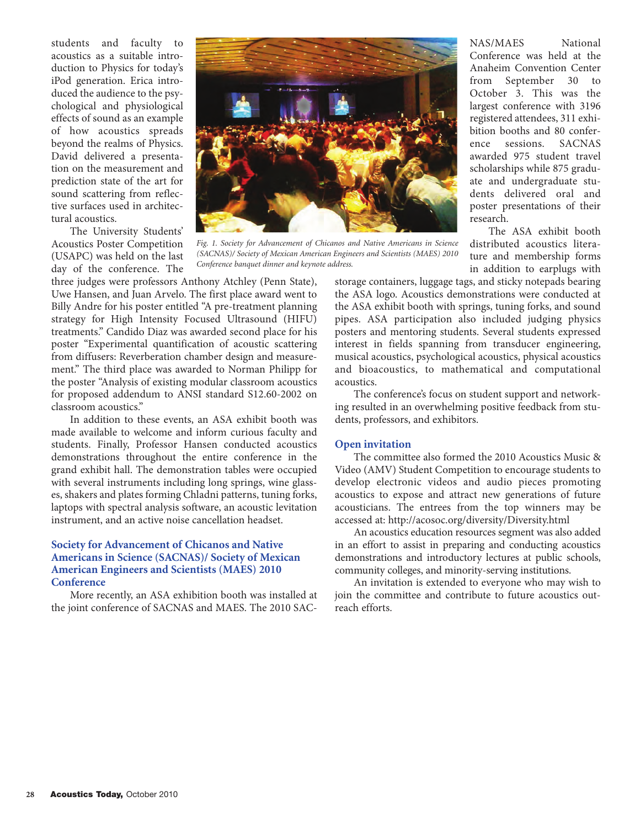students and faculty to acoustics as a suitable introduction to Physics for today's iPod generation. Erica introduced the audience to the psychological and physiological effects of sound as an example of how acoustics spreads beyond the realms of Physics. David delivered a presentation on the measurement and prediction state of the art for sound scattering from reflective surfaces used in architectural acoustics.

The University Students' Acoustics Poster Competition (USAPC) was held on the last day of the conference. The



*Fig. 1. Society for Advancement of Chicanos and Native Americans in Science (SACNAS)/ Society of Mexican American Engineers and Scientists (MAES) 2010 Conference banquet dinner and keynote address.*

three judges were professors Anthony Atchley (Penn State), Uwe Hansen, and Juan Arvelo. The first place award went to Billy Andre for his poster entitled "A pre-treatment planning strategy for High Intensity Focused Ultrasound (HIFU) treatments." Candido Diaz was awarded second place for his poster "Experimental quantification of acoustic scattering from diffusers: Reverberation chamber design and measurement." The third place was awarded to Norman Philipp for the poster "Analysis of existing modular classroom acoustics for proposed addendum to ANSI standard S12.60-2002 on classroom acoustics."

In addition to these events, an ASA exhibit booth was made available to welcome and inform curious faculty and students. Finally, Professor Hansen conducted acoustics demonstrations throughout the entire conference in the grand exhibit hall. The demonstration tables were occupied with several instruments including long springs, wine glasses, shakers and plates forming Chladni patterns, tuning forks, laptops with spectral analysis software, an acoustic levitation instrument, and an active noise cancellation headset.

#### **Society for Advancement of Chicanos and Native Americans in Science (SACNAS)/ Society of Mexican American Engineers and Scientists (MAES) 2010 Conference**

More recently, an ASA exhibition booth was installed at the joint conference of SACNAS and MAES. The 2010 SAC-

NAS/MAES National Conference was held at the Anaheim Convention Center from September 30 to October 3. This was the largest conference with 3196 registered attendees, 311 exhibition booths and 80 confer-<br>ence sessions. SACNAS ence sessions. awarded 975 student travel scholarships while 875 graduate and undergraduate students delivered oral and poster presentations of their research.

The ASA exhibit booth distributed acoustics literature and membership forms in addition to earplugs with

storage containers, luggage tags, and sticky notepads bearing the ASA logo. Acoustics demonstrations were conducted at the ASA exhibit booth with springs, tuning forks, and sound pipes. ASA participation also included judging physics posters and mentoring students. Several students expressed interest in fields spanning from transducer engineering, musical acoustics, psychological acoustics, physical acoustics and bioacoustics, to mathematical and computational acoustics.

The conference's focus on student support and networking resulted in an overwhelming positive feedback from students, professors, and exhibitors.

#### **Open invitation**

The committee also formed the 2010 Acoustics Music & Video (AMV) Student Competition to encourage students to develop electronic videos and audio pieces promoting acoustics to expose and attract new generations of future acousticians. The entrees from the top winners may be accessed at: http://acosoc.org/diversity/Diversity.html

An acoustics education resources segment was also added in an effort to assist in preparing and conducting acoustics demonstrations and introductory lectures at public schools, community colleges, and minority-serving institutions.

An invitation is extended to everyone who may wish to join the committee and contribute to future acoustics outreach efforts.